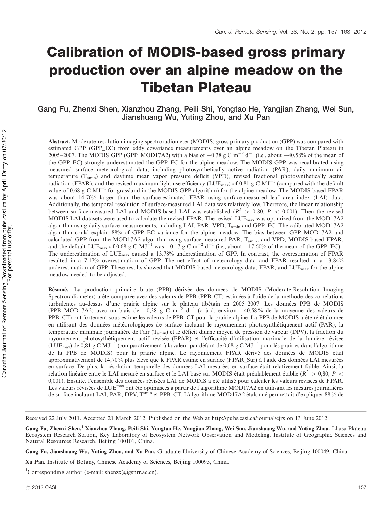# Calibration of MODIS-based gross primary production over an alpine meadow on the Tibetan Plateau

Gang Fu, Zhenxi Shen, Xianzhou Zhang, Peili Shi, Yongtao He, Yangjian Zhang, Wei Sun, Jianshuang Wu, Yuting Zhou, and Xu Pan

Abstract. Moderate-resolution imaging spectroradiometer (MODIS) gross primary production (GPP) was compared with estimated GPP (GPP\_EC) from eddy covariance measurements over an alpine meadow on the Tibetan Plateau in 2005–2007. The MODIS GPP (GPP\_MOD17A2) with a bias of  $-0.38$  g C m<sup>-2</sup> d<sup>-1</sup> (i.e., about  $-40.58\%$  of the mean of the GPP\_EC) strongly underestimated the GPP\_EC for the alpine meadow. The MODIS GPP was recalibrated using measured surface meteorological data, including photosynthetically active radiation (PAR), daily minimum air temperature (Tamin) and daytime mean vapor pressure deficit (VPD), revised fractional photosynthetically active radiation (FPAR), and the revised maximum light use efficiency (LUE<sub>max</sub>) of 0.81 g C MJ<sup>-1</sup> (compared with the default value of 0.68 g C  $MJ^{-1}$  for grassland in the MODIS GPP algorithm) for the alpine meadow. The MODIS-based FPAR was about 14.70% larger than the surface-estimated FPAR using surface-measured leaf area index (LAI) data. Additionally, the temporal resolution of surface-measured LAI data was relatively low. Therefore, the linear relationship between surface-measured LAI and MODIS-based LAI was established ( $R^2 > 0.80$ ,  $P < 0.001$ ). Then the revised MODIS LAI datasets were used to calculate the revised FPAR. The revised LUE<sub>max</sub> was optimized from the MOD17A2 algorithm using daily surface measurements, including LAI, PAR, VPD, Tamin and GPP\_EC. The calibrated MOD17A2 algorithm could explain 88% of GPP\_EC variance for the alpine meadow. The bias between GPP\_MOD17A2 and calculated GPP from the MOD17A2 algorithm using surface-measured PAR, Tamin, and VPD, MODIS-based FPAR, and the default LUE<sub>max</sub> of 0.68 g C MJ<sup>-1</sup> was -0.17 g C m<sup>-2</sup> d<sup>-1</sup> (i.e., about -17.60% of the mean of the GPP\_EC). The underestimation of  $LUE_{max}$  caused a 13.78% underestimation of GPP. In contrast, the overestimation of FPAR resulted in a 7.17% overestimation of GPP. The net effect of meteorology data and FPAR resulted in a 13.84% underestimation of GPP. These results showed that MODIS-based meteorology data, FPAR, and LUE<sub>max</sub> for the alpine meadow needed to be adjusted.

Résumé. La production primaire brute (PPB) dérivée des données de MODIS (Moderate-Resolution Imaging Spectroradiometer) a été comparée avec des valeurs de PPB (PPB\_CT) estimées à l'aide de la méthode des corrélations turbulentes au-dessus d'une prairie alpine sur le plateau tibétain en 2005–2007. Les données PPB de MODIS (PPB\_MOD17A2) avec un biais de  $-0.38$  g C m<sup>-2</sup> d<sup>-1</sup> (c.-à-d. environ -40,58% de la moyenne des valeurs de PPB\_CT) ont fortement sous-estimé les valeurs de PPB\_CT pour la prairie alpine. La PPB de MODIS a été ré-étalonnée en utilisant des données météorologiques de surface incluant le rayonnement photosynthétiquenent actif (PAR), la température minimale journaliére de l'air (T<sub>amin</sub>) et le déficit diurne moyen de pression de vapeur (DPV), la fraction du rayonnement photosythétiquement actif révisée (FPAR) et l'efficacité d'utilisation maximale de la lumière révisée (LUE<sub>max</sub>) de 0,81 g C MJ<sup>-1</sup> (comparativement à la valeur par défaut de 0,68 g C MJ<sup>-1</sup> pour lés prairies dans l'algorithme de la PPB de MODIS) pour la prairie alpine. Le rayonnement FPAR dérivé des données de MODIS était approximativement de 14,70% plus élevé que le FPAR estimé en surface (FPAR\_Sur) à l'aide des données LAI mesurées en surface. De plus, la résolution temporelle des données LAI mesurées en surface était relativement faible. Ainsi, la relation linéaire entre le LAI mesuré en surface et le LAI basé sur MODIS était préalablement établie ( $R^2 > 0.80$ ,  $P <$ 0,001). Ensuite, l'ensemble des données révisées LAI de MODIS a été utilisé pour calculer les valeurs révisées de FPAR. Les valeurs révisées de LUE<sup>max</sup> ont été optimisées à partir de l'algorithme MOD17A2 en utilisant les mesures journaliéres de surface incluant LAI, PAR, DPV, T<sup>amin</sup> et PPB\_CT. L'algorithme MOD17A2 étalonné permettait d'expliquer 88 % de

Received 22 July 2011. Accepted 21 March 2012. Published on the Web at<http://pubs.casi.ca/journal/cjrs> on 13 June 2012.

Gang Fu, Jianshuang Wu, Yuting Zhou, and Xu Pan. Graduate University of Chinese Academy of Sciences, Beijing 100049, China.

Xu Pan. Institute of Botany, Chinese Academy of Sciences, Beijing 100093, China.

<sup>1</sup>Corresponding author [\(e-mail: shenzx@igsnrr.ac.cn\)](mailto:shenzx@igsnrr.ac.cn).

Gang Fu, Zhenxi Shen,<sup>1</sup> Xianzhou Zhang, Peili Shi, Yongtao He, Yangjian Zhang, Wei Sun, Jianshuang Wu, and Yuting Zhou. Lhasa Plateau Ecosystem Research Station, Key Laboratory of Ecosystem Network Observation and Modeling, Institute of Geographic Sciences and Natural Resources Research, Beijing 100101, China.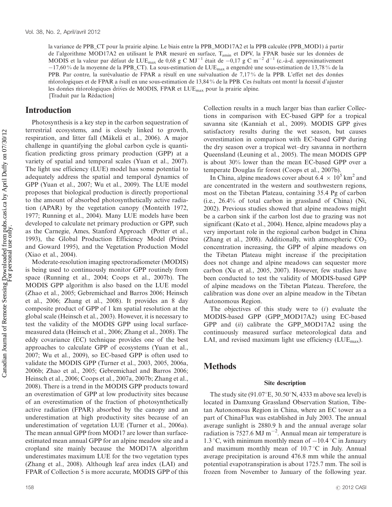la variance de PPB\_CT pour la prairie alpine. Le biais entre la PPB\_MOD17A2 et la PPB calculée (PPB\_MOD1) á partir de l'algorithme MOD17A2 en utilisant le PAR mesuré en surface, T<sub>amin</sub> et DPV, la FPAR basée sur les données de MODIS et la valeur par défaut de LUE<sub>max</sub> de 0,68 g C MJ<sup>-1</sup> était de -0,17 g C m<sup>-2</sup> d<sup>-1</sup> (c.-à-d. approximativement  $-17,60\%$  de la moyenne de la PPB\_CT). La sous-estimation de LUE<sub>max</sub> a engendré une sous-estimation de 13,78% de la PPB. Par contre, la surévaluatio de FPAR a résult´ en une sur´valuation de 7,17% de la PPB. L'effet net des données mtorologiques et de FPAR a r´sult en une sous-estimation de 13,84% de la PPB. Ces r´sultats ont montr´ la n´cessit d'ajuster les données m'torologiques d'rives de MODIS, FPAR et  $LUE<sub>max</sub>$  pour la prairie alpine. [Traduit par la Rédaction]

# **Introduction**

Photosynthesis is a key step in the carbon sequestration of terrestrial ecosystems, and is closely linked to growth, respiration, and litter fall (Mäkelä et al., 2006). A major challenge in quantifying the global carbon cycle is quantification predicting gross primary production (GPP) at a variety of spatial and temporal scales (Yuan et al., 2007). The light use efficiency (LUE) model has some potential to adequately address the spatial and temporal dynamics of GPP (Yuan et al., 2007; Wu et al., 2009). The LUE model proposes that biological production is directly proportional to the amount of absorbed photosynthetically active radiation (APAR) by the vegetation canopy (Monteith 1972, 1977; Running et al., 2004). Many LUE models have been developed to calculate net primary production or GPP, such as the Carnegie, Ames, Stanford Approach (Potter et al., 1993), the Global Production Efficiency Model (Prince and Goward 1995), and the Vegetation Production Model (Xiao et al., 2004).

Moderate-resolution imaging spectroradiometer (MODIS) is being used to continuously monitor GPP routinely from space (Running et al., 2004; Coops et al., 2007b). The MODIS GPP algorithm is also based on the LUE model (Zhao et al., 2005; Gebremichael and Barros 2006; Heinsch et al., 2006; Zhang et al., 2008). It provides an 8 day composite product of GPP of 1 km spatial resolution at the global scale (Heinsch et al., 2003). However, it is necessary to test the validity of the MODIS GPP using local surfacemeasured data (Heinsch et al., 2006; Zhang et al., 2008). The eddy covariance (EC) technique provides one of the best approaches to calculate GPP of ecosystems (Yuan et al., 2007; Wu et al., 2009), so EC-based GPP is often used to validate the MODIS GPP (Turner et al., 2003, 2005, 2006a, 2006b; Zhao et al., 2005; Gebremichael and Barros 2006; Heinsch et al., 2006; Coops et al., 2007a, 2007b; Zhang et al., 2008). There is a trend in the MODIS GPP products toward an overestimation of GPP at low productivity sites because of an overestimation of the fraction of photosynthetically active radiation (FPAR) absorbed by the canopy and an underestimation at high productivity sites because of an underestimation of vegetation LUE (Turner et al., 2006a). The mean annual GPP from MOD17 are lower than surfaceestimated mean annual GPP for an alpine meadow site and a cropland site mainly because the MOD17A algorithm underestimates maximum LUE for the two vegetation types (Zhang et al., 2008). Although leaf area index (LAI) and FPAR of Collection 5 is more accurate, MODIS GPP of this Collection results in a much larger bias than earlier Collections in comparison with EC-based GPP for a tropical savanna site (Kanniah et al., 2009). MODIS GPP gives satisfactory results during the wet season, but causes overestimation in comparison with EC-based GPP during the dry season over a tropical wet-dry savanna in northern Queensland (Leuning et al., 2005). The mean MODIS GPP is about 30% lower than the mean EC-based GPP over a temperate Douglas fir forest (Coops et al., 2007b).

In China, alpine meadows cover about 6.4  $\times$  10<sup>5</sup> km<sup>2</sup> and are concentrated in the western and southwestern regions, most on the Tibetan Plateau, containing 35.4 Pg of carbon (i.e., 26.4% of total carbon in grassland of China) (Ni, 2002). Previous studies showed that alpine meadows might be a carbon sink if the carbon lost due to grazing was not significant (Kato et al., 2004). Hence, alpine meadows play a very important role in the regional carbon budget in China (Zhang et al., 2008). Additionally, with atmospheric  $CO<sub>2</sub>$ concentration increasing, the GPP of alpine meadows on the Tibetan Plateau might increase if the precipitation does not change and alpine meadows can sequester more carbon (Xu et al., 2005, 2007). However, few studies have been conducted to test the validity of MODIS-based GPP of alpine meadows on the Tibetan Plateau. Therefore, the calibration was done over an alpine meadow in the Tibetan Autonomous Region.

The objectives of this study were to  $(i)$  evaluate the MODIS-based GPP (GPP\_MOD17A2) using EC-based GPP and (ii) calibrate the GPP\_MOD17A2 using the continuously measured surface meteorological data and LAI, and revised maximum light use efficiency ( $LUE_{max}$ ).

# Methods

## Site description

The study site (91.07 $\mathrm{E}$ , 30.50 $\mathrm{N}$ , 4333 m above sea level) is located in Damxung Grassland Observation Station, Tibetan Autonomous Region in China, where an EC tower as a part of ChinaFlux was established in July 2003. The annual average sunlight is 2880.9 h and the annual average solar radiation is 7527.6 MJ m<sup>-2</sup>. Annual mean air temperature is 1.3 °C, with minimum monthly mean of  $-10.4$  °C in January and maximum monthly mean of  $10.7\degree C$  in July. Annual average precipitation is around 476.8 mm while the annual potential evapotranspiration is about 1725.7 mm. The soil is frozen from November to January of the following year.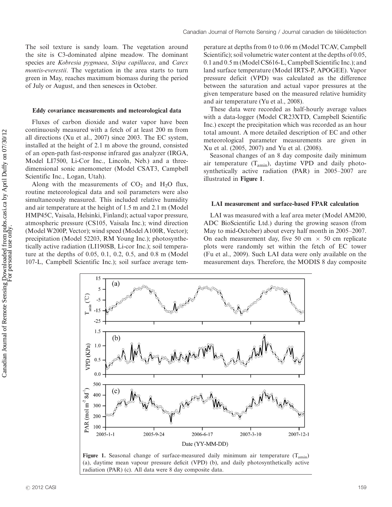The soil texture is sandy loam. The vegetation around the site is C3-dominated alpine meadow. The dominant species are Kobresia pygmaea, Stipa capillacea, and Carex montis-everestii. The vegetation in the area starts to turn green in May, reaches maximum biomass during the period of July or August, and then senesces in October.

#### Eddy covariance measurements and meteorological data

Fluxes of carbon dioxide and water vapor have been continuously measured with a fetch of at least 200 m from all directions (Xu et al., 2007) since 2003. The EC system, installed at the height of 2.1 m above the ground, consisted of an open-path fast-response infrared gas analyzer (IRGA, Model LI7500, Li-Cor Inc., Lincoln, Neb.) and a threedimensional sonic anemometer (Model CSAT3, Campbell Scientific Inc., Logan, Utah).

Along with the measurements of  $CO<sub>2</sub>$  and  $H<sub>2</sub>O$  flux, routine meteorological data and soil parameters were also simultaneously measured. This included relative humidity and air temperature at the height of 1.5 m and 2.1 m (Model HMP45C, Vaisala, Helsinki, Finland); actual vapor pressure, atmospheric pressure (CS105, Vaisala Inc.); wind direction (Model W200P, Vector); wind speed (Model A100R, Vector); precipitation (Model 52203, RM Young Inc.); photosynthetically active radiation (LI190SB, Li-cor Inc.); soil temperature at the depths of 0.05, 0.1, 0.2, 0.5, and 0.8 m (Model 107-L, Campbell Scientific Inc.); soil surface average temperature at depths from 0 to 0.06 m (Model TCAV, Campbell Scientific); soil volumetric water content at the depths of 0.05, 0.1 and 0.5 m (Model CS616-L, Campbell Scientific Inc.); and land surface temperature (Model IRTS-P, APOGEE). Vapor pressure deficit (VPD) was calculated as the difference between the saturation and actual vapor pressures at the given temperature based on the measured relative humidity and air temperature (Yu et al., 2008).

These data were recorded as half-hourly average values with a data-logger (Model CR23XTD, Campbell Scientific Inc.) except the precipitation which was recorded as an hour total amount. A more detailed description of EC and other meteorological parameter measurements are given in Xu et al. (2005, 2007) and Yu et al. (2008).

Seasonal changes of an 8 day composite daily minimum air temperature  $(T_{\text{amin}})$ , daytime VPD and daily photosynthetically active radiation (PAR) in 2005-2007 are illustrated in Figure 1.

## LAI measurement and surface-based FPAR calculation

LAI was measured with a leaf area meter (Model AM200, ADC BioScientific Ltd.) during the growing season (from May to mid-October) about every half month in 2005-2007. On each measurement day, five 50 cm  $\times$  50 cm replicate plots were randomly set within the fetch of EC tower (Fu et al., 2009). Such LAI data were only available on the measurement days. Therefore, the MODIS 8 day composite



Figure 1. Seasonal change of surface-measured daily minimum air temperature  $(T_{\text{amin}})$ (a), daytime mean vapour pressure deficit (VPD) (b), and daily photosynthetically active radiation (PAR) (c). All data were 8 day composite data.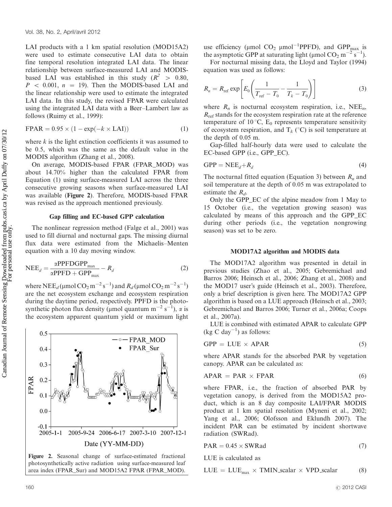LAI products with a 1 km spatial resolution (MOD15A2) were used to estimate consecutive LAI data to obtain fine temporal resolution integrated LAI data. The linear relationship between surface-measured LAI and MODISbased LAI was established in this study ( $R^2 > 0.80$ ,  $P \sim 0.001$ ,  $n = 19$ ). Then the MODIS-based LAI and the linear relationship were used to estimate the integrated LAI data. In this study, the revised FPAR were calculated using the integrated LAI data with a Beer-Lambert law as follows (Ruimy et al., 1999):

$$
FPAR = 0.95 \times (1 - \exp(-k \times \text{LAI}))
$$
 (1)

where  $k$  is the light extinction coefficients it was assumed to be 0.5, which was the same as the default value in the MODIS algorithm (Zhang et al., 2008).

On average, MODIS-based FPAR (FPAR\_MOD) was about 14.70% higher than the calculated FPAR from Equation (1) using surface-measured LAI across the three consecutive growing seasons when surface-measured LAI was available (Figure 2). Therefore, MODIS-based FPAR was revised as the approach mentioned previously.

## Gap filling and EC-based GPP calculation

The nonlinear regression method (Falge et al., 2001) was used to fill diurnal and nocturnal gaps. The missing diurnal flux data were estimated from the Michaelis-Menten equation with a 10 day moving window.

$$
NEE_d = \frac{\alpha PPF D GPP_{\text{max}}}{\alpha PPFD + GPP_{\text{max}}} - R_d
$$
 (2)

where NEE<sub>d</sub> (µmol CO<sub>2</sub> m<sup>-2</sup>s<sup>-1</sup>) and  $R_d$  (µmol CO<sub>2</sub> m<sup>-2</sup>s<sup>-1</sup>) are the net ecosystem exchange and ecosystem respiration during the daytime period, respectively. PPFD is the photosynthetic photon flux density (µmol quantum m<sup>-2</sup> s<sup>-1</sup>),  $\alpha$  is the ecosystem apparent quantum yield or maximum light



Figure 2. Seasonal change of surface-estimated fractional photosynthetically active radiation using surface-measured leaf area index (FPAR\_Sur) and MOD15A2 FPAR (FPAR\_MOD).

use efficiency ( $\mu$ mol CO<sub>2</sub>  $\mu$ mol<sup>-1</sup>PPFD), and GPP<sub>max</sub> is the asymptotic GPP at saturating light (µmol  $CO_2$  m<sup>-2</sup> s<sup>-1</sup>).

For nocturnal missing data, the Lloyd and Taylor (1994) equation was used as follows:

$$
R_n = R_{\text{ref}} \exp\left[E_0 \left(\frac{1}{T_{\text{ref}} - T_0} - \frac{1}{T_k - T_0}\right)\right]
$$
 (3)

where  $R_n$  is nocturnal ecosystem respiration, i.e., NEE<sub>n</sub>,  $R_{\text{ref}}$  stands for the ecosystem respiration rate at the reference temperature of 10 $^{\circ}$ C, E<sub>0</sub> represents temperature sensitivity of ecosystem respiration, and  $T_k$  (°C) is soil temperature at the depth of 0.05 m.

Gap-filled half-hourly data were used to calculate the EC-based GPP (i.e., GPP\_EC).

$$
GPP = NEE_d + R_d \tag{4}
$$

The nocturnal fitted equation (Equation 3) between  $R_n$  and soil temperature at the depth of 0.05 m was extrapolated to estimate the  $R_d$ .

Only the GPP\_EC of the alpine meadow from 1 May to 15 October (i.e., the vegetation growing season) was calculated by means of this approach and the GPP\_EC during other periods (i.e., the vegetation nongrowing season) was set to be zero.

#### MOD17A2 algorithm and MODIS data

The MOD17A2 algorithm was presented in detail in previous studies (Zhao et al., 2005; Gebremichael and Barros 2006; Heinsch et al., 2006; Zhang et al., 2008) and the MOD17 user's guide (Heinsch et al., 2003). Therefore, only a brief description is given here. The MOD17A2 GPP algorithm is based on a LUE approach (Heinsch et al., 2003; Gebremichael and Barros 2006; Turner et al., 2006a; Coops et al., 2007a).

LUE is combined with estimated APAR to calculate GPP  $(kg C day^{-1})$  as follows:

$$
GPP = LUE \times APAR
$$
 (5)

where APAR stands for the absorbed PAR by vegetation canopy. APAR can be calculated as:

$$
APAR = PAR \times FPAR \tag{6}
$$

where FPAR, i.e., the fraction of absorbed PAR by vegetation canopy, is derived from the MOD15A2 product, which is an 8 day composite LAI/FPAR MODIS product at 1 km spatial resolution (Myneni et al., 2002; Yang et al., 2006; Olofsson and Eklundh 2007). The incident PAR can be estimated by incident shortwave radiation (SWRad).

$$
PAR = 0.45 \times SWRad
$$
 (7)

LUE is calculated as

$$
LUE = LUE_{max} \times TMIN\_scalar \times VPD\_scalar
$$
 (8)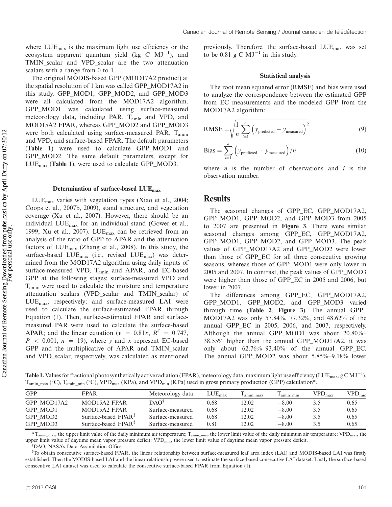where  $LUE_{\text{max}}$  is the maximum light use efficiency or the ecosystem apparent quantum yield (kg C  $MJ^{-1}$ ), and TMIN\_scalar and VPD\_scalar are the two attenuation scalars with a range from 0 to 1.

The original MODIS-based GPP (MOD17A2 product) at the spatial resolution of 1 km was called GPP\_MOD17A2 in this study. GPP\_MOD1, GPP\_MOD2, and GPP\_MOD3 were all calculated from the MOD17A2 algorithm. GPP\_MOD1 was calculated using surface-measured meteorology data, including PAR, Tamin and VPD, and MOD15A2 FPAR, whereas GPP\_MOD2 and GPP\_MOD3 were both calculated using surface-measured PAR, T<sub>amin</sub> and VPD, and surface-based FPAR. The default parameters (Table 1) were used to calculate GPP\_MOD1 and GPP\_MOD2. The same default parameters, except for LUEmax (Table 1), were used to calculate GPP\_MOD3.

## Determination of surface-based LUEmax

LUEmax varies with vegetation types (Xiao et al., 2004; Coops et al., 2007b, 2009), stand structure, and vegetation coverage (Xu et al., 2007). However, there should be an individual LUEmax for an individual stand (Gower et al., 1999; Xu et al., 2007). LUEmax can be retrieved from an analysis of the ratio of GPP to APAR and the attenuation factors of  $LUE_{\text{max}}$  (Zhang et al., 2008). In this study, the surface-based  $LUE_{max}$  (i.e., revised  $LUE_{max}$ ) was determined from the MOD17A2 algorithm using daily inputs of surface-measured VPD, Tamin and APAR, and EC-based GPP at the following stages: surface-measured VPD and Tamin were used to calculate the moisture and temperature attenuation scalars (VPD\_scalar and TMIN\_scalar) of LUEmax, respectively; and surface-measured LAI were used to calculate the surface-estimated FPAR through Equation (1). Then, surface-estimated FPAR and surfacemeasured PAR were used to calculate the surface-based APAR; and the linear equation ( $y = 0.81x$ ,  $R^2 = 0.747$ ,  $P < 0.001$ ,  $n = 19$ ), where y and x represent EC-based GPP and the multiplicative of APAR and TMIN\_scalar and VPD\_scalar, respectively, was calculated as mentioned previously. Therefore, the surface-based LUEmax was set to be 0.81 g C  $MJ^{-1}$  in this study.

#### Statistical analysis

The root mean squared error (RMSE) and bias were used to analyze the correspondence between the estimated GPP from EC measurements and the modeled GPP from the MOD17A2 algorithm:

$$
RMSE = \sqrt{\frac{1}{n} \sum_{i=1}^{n} (y_{predicted} - y_{measured})^2}
$$
 (9)

$$
\text{Bias} = \sum_{i=1}^{n} \left( y_{\text{predicted}} - y_{\text{measured}} \right) / n \tag{10}
$$

where  $n$  is the number of observations and  $i$  is the observation number.

## **Results**

The seasonal changes of GPP\_EC, GPP\_MOD17A2, GPP\_MOD1, GPP\_MOD2, and GPP\_MOD3 from 2005 to 2007 are presented in Figure 3. There were similar seasonal changes among GPP\_EC, GPP\_MOD17A2, GPP\_MOD1, GPP\_MOD2, and GPP\_MOD3. The peak values of GPP\_MOD17A2 and GPP\_MOD2 were lower than those of GPP\_EC for all three consecutive growing seasons, whereas those of GPP\_MOD1 were only lower in 2005 and 2007. In contrast, the peak values of GPP\_MOD3 were higher than those of GPP\_EC in 2005 and 2006, but lower in 2007.

The differences among GPP\_EC, GPP\_MOD17A2, GPP\_MOD1, GPP\_MOD2, and GPP\_MOD3 varied through time (Table 2, Figure 3). The annual GPP MOD17A2 was only 57.84%, 77.32%, and 48.62% of the annual GPP EC in 2005, 2006, and 2007, respectively. Although the annual GPP\_MOD1 was about 20.80%- 38.55% higher than the annual GPP\_MOD17A2, it was only about 62.76%-93.40% of the annual GPP\_EC. The annual GPP\_MOD2 was about 5.85%-9.18% lower

**Table 1.** Values for fractional photosynthetically active radiation (FPAR), meteorology data, maximum light use efficiency (LUE<sub>max</sub>, g C MJ<sup>-1</sup>),  $T_{\text{amin max}}$  ( $\degree$ C),  $T_{\text{amin min}}$  ( $\degree$ C), VPD<sub>max</sub> (KPa), and VPD<sub>min</sub> (KPa) used in gross primary production (GPP) calculation\*.

| GPP         | <b>FPAR</b>                     | Meteorology data | $LUE_{max}$ | amin max | amin min | $VPD_{\text{max}}$ | $\mathrm{VPD}_{\mathrm{min}}$ |
|-------------|---------------------------------|------------------|-------------|----------|----------|--------------------|-------------------------------|
| GPP MOD17A2 | MOD15A2 FPAR                    | DAO <sup>1</sup> | 0.68        | 12.02    | $-8.00$  | 3.5                | 0.65                          |
| GPP MOD1    | MOD15A2 FPAR                    | Surface-measured | 0.68        | 12.02    | $-8.00$  | 3.5                | 0.65                          |
| GPP MOD2    | Surface-based $FPAR^T$          | Surface-measured | 0.68        | 12.02    | $-8.00$  | 3.5                | 0.65                          |
| GPP MOD3    | Surface-based $FPAR^{\ddagger}$ | Surface-measured | 0.81        | 12.02    | $-8.00$  | 3.5                | 0.65                          |

\* T<sub>amin\_max</sub>, the upper limit value of the daily minimum air temperature; T<sub>amin\_min</sub>, the lower limit value of the daily minimum air temperature; VPD<sub>max</sub>, the upper limit value of daytime mean vapor pressure deficit; VPD<sub>min</sub>, the lower limit value of daytime mean vapor pressure deficit.

\$ DAO, NASA's Data Assimilation Office.

% To obtain consecutive surface-based FPAR, the linear relationship between surface-measured leaf area index (LAI) and MODIS-based LAI was firstly established. Then the MODIS-based LAI and the linear relationship were used to estimate the surface-based consecutive LAI dataset. Lastly the surface-based consecutive LAI dataset was used to calculate the consecutive surface-based FPAR from Equation (1).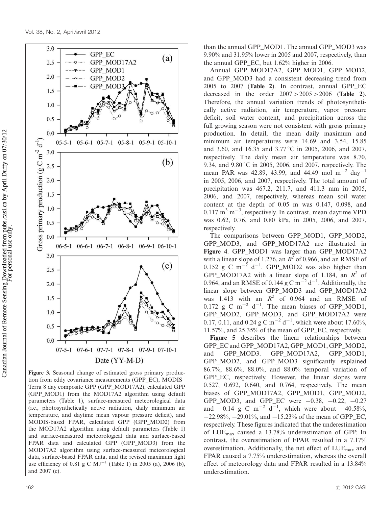

Figure 3. Seasonal change of estimated gross primary production from eddy covariance measurements (GPP\_EC), MODIS- Terra 8 day composite GPP (GPP\_MOD17A2), calculated GPP (GPP\_MOD1) from the MOD17A2 algorithm using default parameters (Table 1), surface-measured meteorological data (i.e., photosynthetically active radiation, daily minimum air temperature, and daytime mean vapour pressure deficit), and MODIS-based FPAR, calculated GPP (GPP\_MOD2) from the MOD17A2 algorithm using default parameters (Table 1) and surface-measured meteorological data and surface-based FPAR data and calculated GPP (GPP\_MOD3) from the MOD17A2 algorithm using surface-measured meteorological data, surface-based FPAR data, and the revised maximum light use efficiency of 0.81 g C  $MJ^{-1}$  (Table 1) in 2005 (a), 2006 (b), and 2007 (c).

than the annual GPP\_MOD1. The annual GPP\_MOD3 was 9.90% and 31.95% lower in 2005 and 2007, respectively, than the annual GPP\_EC, but 1.62% higher in 2006.

Annual GPP\_MOD17A2, GPP\_MOD1, GPP\_MOD2, and GPP\_MOD3 had a consistent decreasing trend from 2005 to 2007 (Table 2). In contrast, annual GPP\_EC decreased in the order  $2007 > 2005 > 2006$  (Table 2). Therefore, the annual variation trends of photosynthetically active radiation, air temperature, vapor pressure deficit, soil water content, and precipitation across the full growing season were not consistent with gross primary production. In detail, the mean daily maximum and minimum air temperatures were 14.69 and 3.54, 15.85 and 3.60, and 16.35 and 3.77 °C in 2005, 2006, and 2007, respectively. The daily mean air temperature was 8.70, 9.34, and  $9.80\,^{\circ}\text{C}$  in 2005, 2006, and 2007, respectively. The mean PAR was 42.89, 43.99, and 44.49 mol  $m^{-2}$  day<sup>-1</sup> in 2005, 2006, and 2007, respectively. The total amount of precipitation was 467.2, 211.7, and 411.3 mm in 2005, 2006, and 2007, respectively, whereas mean soil water content at the depth of 0.05 m was 0.147, 0.098, and  $0.117 \text{ m}^3 \text{ m}^{-3}$ , respectively. In contrast, mean daytime VPD was 0.62, 0.76, and 0.80 kPa, in 2005, 2006, and 2007, respectively.

The comparisons between GPP\_MOD1, GPP\_MOD2, GPP MOD3, and GPP MOD17A2 are illustrated in Figure 4. GPP\_MOD1 was larger than GPP\_MOD17A2 with a linear slope of 1.276, an  $R^2$  of 0.966, and an RMSE of 0.152 g C m<sup> $-2$ </sup> d<sup>-1</sup>. GPP\_MOD2 was also higher than GPP\_MOD17A2 with a linear slope of 1.184, an  $R^2$  of 0.964, and an RMSE of 0.144 g C  $m^{-2}$  d<sup>-1</sup>. Additionally, the linear slope between GPP\_MOD3 and GPP\_MOD17A2 was 1.413 with an  $R^2$  of 0.964 and an RMSE of 0.172 g C m<sup>-2</sup> d<sup>-1</sup>. The mean biases of GPP\_MOD1, GPP\_MOD2, GPP\_MOD3, and GPP\_MOD17A2 were 0.17, 0.11, and 0.24 g C m<sup>-2</sup> d<sup>-1</sup>, which were about 17.60%, 11.57%, and 25.35% of the mean of GPP\_EC, respectively.

Figure 5 describes the linear relationships between GPP\_EC and GPP\_MOD17A2, GPP\_MOD1, GPP\_MOD2, and GPP\_MOD3. GPP\_MOD17A2, GPP\_MOD1, GPP\_MOD2, and GPP\_MOD3 significantly explained 86.7%, 88.6%, 88.0%, and 88.0% temporal variation of GPP\_EC, respectively. However, the linear slopes were 0.527, 0.692, 0.640, and 0.764, respectively. The mean biases of GPP\_MOD17A2, GPP\_MOD1, GPP\_MOD2, GPP\_MOD3, and GPP\_EC were  $-0.38$ ,  $-0.22$ ,  $-0.27$ and  $-0.14$  g C m<sup>-2</sup> d<sup>-1</sup>, which were about  $-40.58\%$ ,  $-22.98\%$ ,  $-29.01\%$ , and  $-15.23\%$  of the mean of GPP EC. respectively. These figures indicated that the underestimation of LUEmax caused a 13.78% underestimation of GPP. In contrast, the overestimation of FPAR resulted in a 7.17% overestimation. Additionally, the net effect of LUEmax and FPAR caused a 7.75% underestimation, whereas the overall effect of meteorology data and FPAR resulted in a 13.84% underestimation.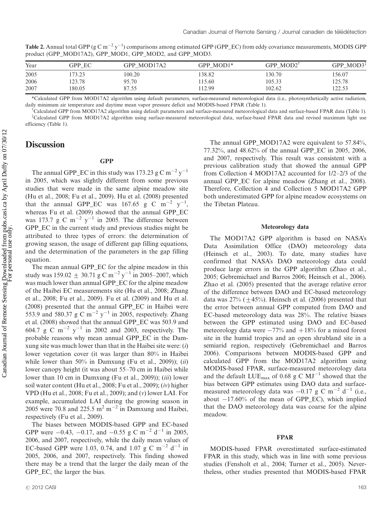Table 2. Annual total GPP (g C m<sup>-2</sup> y<sup>-1</sup>) comparisons among estimated GPP (GPP\_EC) from eddy covariance measurements, MODIS GPP product (GPP\_MOD17A2), GPP\_MOD1, GPP\_MOD2, and GPP\_MOD3.

| Year | GPP EC | GPP MOD17A2 | GPP MOD1* | GPP MOD2 <sup>1</sup> | GPP MOD3 <sup><math>#</math></sup> |
|------|--------|-------------|-----------|-----------------------|------------------------------------|
| 2005 | 73.23  | 100.20      | 138.82    | 130.70                | 156.07                             |
| 2006 | 123.78 | 95.70       | 15.60     | 105.33                | 125.78                             |
| 2007 | 180.05 | 87.55       | 12.99     | 102.62                | 22.53                              |

\*Calculated GPP from MOD17A2 algorithm using default parameters, surface-measured meteorological data (i.e., photosynthetically active radiation, daily minimum air temperature and daytime mean vapor pressure deficit and MODIS-based FPAR (Table 1).

<sup>†</sup>Calculated GPP from MOD17A2 algorithm using default parameters and surface-measured meteorological data and surface-based FPAR data (Table 1). % Calculated GPP from MOD17A2 algorithm using surface-measured meteorological data, surface-based FPAR data and revised maximum light use efficiency (Table 1).

# **Discussion**

## **GPP**

The annual GPP\_EC in this study was 173.23 g C m<sup>-2</sup> y<sup>-1</sup> in 2005, which was slightly different from some previous studies that were made in the same alpine meadow site (Hu et al., 2008; Fu et al., 2009). Hu et al. (2008) presented that the annual GPP\_EC was 167.65 g C m<sup>-2</sup> y<sup>-1</sup>, whereas Fu et al. (2009) showed that the annual GPP\_EC was 173.7 g C m<sup>-2</sup> y<sup>-1</sup> in 2005. The difference between GPP\_EC in the current study and previous studies might be attributed to three types of errors: the determination of growing season, the usage of different gap filling equations, and the determination of the parameters in the gap filling equation.

The mean annual GPP\_EC for the alpine meadow in this study was  $159.02 \pm 30.71$  g C m<sup>-2</sup> y<sup>-1</sup> in 2005-2007, which was much lower than annual GPP\_EC for the alpine meadow of the Haibei EC measurements site (Hu et al., 2008; Zhang et al., 2008; Fu et al., 2009). Fu et al. (2009) and Hu et al. (2008) presented that the annual GPP\_EC in Haibei were 553.9 and 580.37 g C m<sup>-2</sup> y<sup>-1</sup> in 2005, respectively. Zhang et al. (2008) showed that the annual GPP\_EC was 503.9 and 604.7 g C  $\mathrm{m}^{-2}$  y<sup>-1</sup> in 2002 and 2003, respectively. The probable reasons why mean annual GPP\_EC in the Damxung site was much lower than that in the Haibei site were:  $(i)$ lower vegetation cover (it was larger than 80% in Haibei while lower than 50% in Damxung (Fu et al., 2009)); (ii) lower canopy height (it was about 55-70 cm in Haibei while lower than 10 cm in Damxung (Fu et al., 2009)); *(iii)* lower soil water content (Hu et al., 2008; Fu et al., 2009); (iv) higher VPD (Hu et al., 2008; Fu et al., 2009); and (v) lower LAI. For example, accumulated LAI during the growing season in 2005 were 70.8 and 225.5 m<sup>2</sup> m<sup>-2</sup> in Damxung and Haibei, respectively (Fu et al., 2009).

The biases between MODIS-based GPP and EC-based GPP were  $-0.43$ ,  $-0.17$ , and  $-0.55$  g C m<sup>-2</sup> d<sup>-1</sup> in 2005, 2006, and 2007, respectively, while the daily mean values of EC-based GPP were 1.03, 0.74, and 1.07 g C m<sup>-2</sup> d<sup>-1</sup> in 2005, 2006, and 2007, respectively. This finding showed there may be a trend that the larger the daily mean of the GPP\_EC, the larger the bias.

The annual GPP\_MOD17A2 were equivalent to 57.84%, 77.32%, and 48.62% of the annual GPP\_EC in 2005, 2006, and 2007, respectively. This result was consistent with a previous calibration study that showed the annual GPP from Collection 4 MOD17A2 accounted for 1/2-2/3 of the annual GPP\_EC for alpine meadow (Zhang et al., 2008). Therefore, Collection 4 and Collection 5 MOD17A2 GPP both underestimated GPP for alpine meadow ecosystems on the Tibetan Plateau.

## Meteorology data

The MOD17A2 GPP algorithm is based on NASA's Data Assimilation Office (DAO) meteorology data (Heinsch et al., 2003). To date, many studies have confirmed that NASA's DAO meteorology data could produce large errors in the GPP algorithm (Zhao et al., 2005; Gebremichael and Barros 2006; Heinsch et al., 2006). Zhao et al. (2005) presented that the average relative error of the difference between DAO and EC-based meteorology data was  $27\%$  ( $\pm$ 45%). Heinsch et al. (2006) presented that the error between annual GPP computed from DAO and EC-based meteorology data was 28%. The relative biases between the GPP estimated using DAO and EC-based meteorology data were  $-77%$  and  $+18%$  for a mixed forest site in the humid tropics and an open shrubland site in a semiarid region, respectively (Gebremichael and Barros 2006). Comparisons between MODIS-based GPP and calculated GPP from the MOD17A2 algorithm using MODIS-based FPAR, surface-measured meteorology data and the default  $LUE_{max}$  of 0.68 g C  $MJ^{-1}$  showed that the bias between GPP estimates using DAO data and surfacemeasured meteorology data was  $-0.17$  g C m<sup>-2</sup> d<sup>-1</sup> (i.e., about  $-17.60\%$  of the mean of GPP\_EC), which implied that the DAO meteorology data was coarse for the alpine meadow.

## FPAR

MODIS-based FPAR overestimated surface-estimated FPAR in this study, which was in line with some previous studies (Fensholt et al., 2004; Turner et al., 2005). Nevertheless, other studies presented that MODIS-based FPAR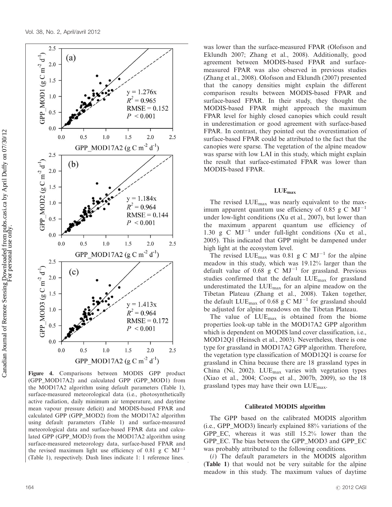

Figure 4. Comparisons between MODIS GPP product (GPP\_MOD17A2) and calculated GPP (GPP\_MOD1) from the MOD17A2 algorithm using default parameters (Table 1), surface-measured meteorological data (i.e., photosynthetically active radiation, daily minimum air temperature, and daytime mean vapour pressure deficit) and MODIS-based FPAR and calculated GPP (GPP\_MOD2) from the MOD17A2 algorithm using default parameters (Table 1) and surface-measured meteorological data and surface-based FPAR data and calculated GPP (GPP\_MOD3) from the MOD17A2 algorithm using surface-measured meteorology data, surface-based FPAR and the revised maximum light use efficiency of 0.81 g C  $MJ^{-1}$ (Table 1), respectively. Dash lines indicate 1: 1 reference lines.

was lower than the surface-measured FPAR (Olofsson and Eklundh 2007; Zhang et al., 2008). Additionally, good agreement between MODIS-based FPAR and surfacemeasured FPAR was also observed in previous studies (Zhang et al., 2008). Olofsson and Eklundh (2007) presented that the canopy densities might explain the different comparison results between MODIS-based FPAR and surface-based FPAR. In their study, they thought the MODIS-based FPAR might approach the maximum FPAR level for highly closed canopies which could result in underestimation or good agreement with surface-based FPAR. In contrast, they pointed out the overestimation of surface-based FPAR could be attributed to the fact that the canopies were sparse. The vegetation of the alpine meadow was sparse with low LAI in this study, which might explain the result that surface-estimated FPAR was lower than MODIS-based FPAR.

## LUEmax

The revised LUEmax was nearly equivalent to the maximum apparent quantum use efficiency of 0.85 g C  $MJ^{-1}$ under low-light conditions (Xu et al., 2007), but lower than the maximum apparent quantum use efficiency of 1.30 g C  $MJ^{-1}$  under full-light conditions (Xu et al., 2005). This indicated that GPP might be dampened under high light at the ecosystem level.

The revised  $LUE_{max}$  was 0.81 g C  $MJ^{-1}$  for the alpine meadow in this study, which was 19.12% larger than the default value of 0.68 g C  $MJ^{-1}$  for grassland. Previous studies confirmed that the default LUE<sub>max</sub> for grassland underestimated the  $LUE_{max}$  for an alpine meadow on the Tibetan Plateau (Zhang et al., 2008). Taken together, the default LUE<sub>max</sub> of 0.68 g C  $MJ^{-1}$  for grassland should be adjusted for alpine meadows on the Tibetan Plateau.

The value of LUEmax is obtained from the biome properties look-up table in the MOD17A2 GPP algorithm which is dependent on MODIS land cover classification, *i.e.*, MOD12Q1 (Heinsch et al., 2003). Nevertheless, there is one type for grassland in MOD17A2 GPP algorithm. Therefore, the vegetation type classification of MOD12Q1 is coarse for grassland in China because there are 18 grassland types in China (Ni, 2002). LUE $_{\text{max}}$  varies with vegetation types (Xiao et al., 2004; Coops et al., 2007b, 2009), so the 18 grassland types may have their own  $LUE_{\text{max}}$ .

#### Calibrated MODIS algorithm

The GPP based on the calibrated MODIS algorithm (i.e., GPP\_MOD3) linearly explained 88% variations of the GPP\_EC, whereas it was still 15.2% lower than the GPP\_EC. The bias between the GPP\_MOD3 and GPP\_EC was probably attributed to the following conditions.

(i) The default parameters in the MODIS algorithm (Table 1) that would not be very suitable for the alpine meadow in this study. The maximum values of daytime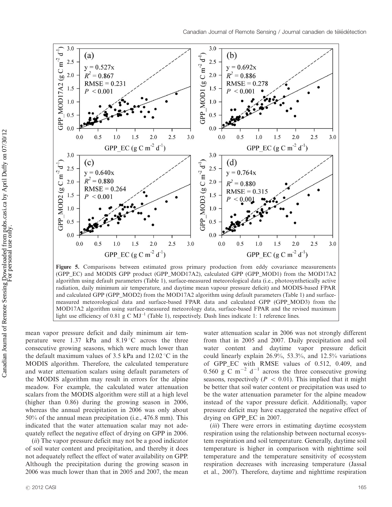

Figure 5. Comparisons between estimated gross primary production from eddy covariance measurements (GPP\_EC) and MODIS GPP product (GPP\_MOD17A2), calculated GPP (GPP\_MOD1) from the MOD17A2 algorithm using default parameters (Table 1), surface-measured meteorological data (i.e., photosynthetically active radiation, daily minimum air temperature, and daytime mean vapour pressure deficit) and MODIS-based FPAR and calculated GPP (GPP\_MOD2) from the MOD17A2 algorithm using default parameters (Table 1) and surfacemeasured meteorological data and surface-based FPAR data and calculated GPP (GPP\_MOD3) from the MOD17A2 algorithm using surface-measured meteorology data, surface-based FPAR and the revised maximum light use efficiency of 0.81 g C  $MJ^{-1}$  (Table 1), respectively. Dash lines indicate 1: 1 reference lines.

mean vapor pressure deficit and daily minimum air temperature were  $1.37$  kPa and  $8.19\degree$ C across the three consecutive growing seasons, which were much lower than the default maximum values of 3.5 kPa and  $12.02 \degree C$  in the MODIS algorithm. Therefore, the calculated temperature and water attenuation scalars using default parameters of the MODIS algorithm may result in errors for the alpine meadow. For example, the calculated water attenuation scalars from the MODIS algorithm were still at a high level (higher than 0.86) during the growing season in 2006, whereas the annual precipitation in 2006 was only about 50% of the annual mean precipitation (i.e., 476.8 mm). This indicated that the water attenuation scalar may not adequately reflect the negative effect of drying on GPP in 2006.

(ii) The vapor pressure deficit may not be a good indicator of soil water content and precipitation, and thereby it does not adequately reflect the effect of water availability on GPP. Although the precipitation during the growing season in 2006 was much lower than that in 2005 and 2007, the mean

water attenuation scalar in 2006 was not strongly different from that in 2005 and 2007. Daily precipitation and soil water content and daytime vapor pressure deficit could linearly explain 26.9%, 53.3%, and 12.5% variations of GPP\_EC with RMSE values of 0.512, 0.409, and 0.560 g  $\overline{C}$  m<sup>-2</sup> d<sup>-1</sup> across the three consecutive growing seasons, respectively ( $P < 0.01$ ). This implied that it might be better that soil water content or precipitation was used to be the water attenuation parameter for the alpine meadow instead of the vapor pressure deficit. Additionally, vapor pressure deficit may have exaggerated the negative effect of drying on GPP\_EC in 2007.

(*iii*) There were errors in estimating daytime ecosystem respiration using the relationship between nocturnal ecosystem respiration and soil temperature. Generally, daytime soil temperature is higher in comparison with nighttime soil temperature and the temperature sensitivity of ecosystem respiration decreases with increasing temperature (Jassal et al., 2007). Therefore, daytime and nighttime respiration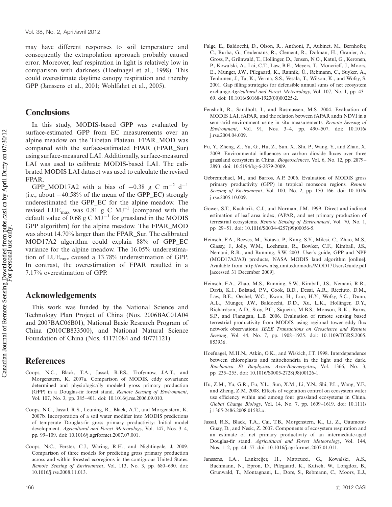may have different responses to soil temperature and consequently the extrapolation approach probably caused error. Moreover, leaf respiration in light is relatively low in comparison with darkness (Hoefnagel et al., 1998). This could overestimate daytime canopy respiration and thereby GPP (Janssens et al., 2001; Wohlfahrt et al., 2005).

# **Conclusions**

In this study, MODIS-based GPP was evaluated by surface-estimated GPP from EC measurements over an alpine meadow on the Tibetan Plateau. FPAR\_MOD was compared with the surface-estimated FPAR (FPAR\_Sur) using surface-measured LAI. Additionally, surface-measured LAI was used to calibrate MODIS-based LAI. The calibrated MODIS LAI dataset was used to calculate the revised FPAR.

GPP\_MOD17A2 with a bias of  $-0.38$  g C m<sup>-2</sup> d<sup>-1</sup> (i.e., about  $-40.58\%$  of the mean of the GPP\_EC) strongly underestimated the GPP\_EC for the alpine meadow. The revised LUE<sub>max</sub> was 0.81 g C  $MJ^{-1}$  (compared with the default value of 0.68 g C  $MJ^{-1}$  for grassland in the MODIS GPP algorithm) for the alpine meadow. The FPAR\_MOD was about 14.70% larger than the FPAR\_Sur. The calibrated MOD17A2 algorithm could explain 88% of GPP\_EC variance for the alpine meadow. The 16.05% underestimation of  $LUE_{max}$  caused a 13.78% underestimation of GPP. In contrast, the overestimation of FPAR resulted in a 7.17% overestimation of GPP.

# Acknowledgements

This work was funded by the National Science and Technology Plan Project of China (Nos. 2006BAC01A04 and 2007BAC06B01), National Basic Research Program of China (2010CB833500), and National Natural Science Foundation of China (Nos. 41171084 and 40771121).

# References

- Coops, N.C., Black, T.A., Jassal, R.P.S., Trofymow, J.A.T., and Morgenstern, K. 2007a. Comparison of MODIS, eddy covariance determined and physiologically modeled gross primary production (GPP) in a Douglas-fir forest stand. Remote Sensing of Environment, Vol. 107, No. 3, pp. 385-401. doi: 10.1016/j.rse.2006.09.010.
- Coops, N.C., Jassal, R.S., Leuning, R., Black, A.T., and Morgenstern, K. 2007b. Incorporation of a soil water modifier into MODIS predictions of temperate Douglas-fir gross primary productivity: Initial model development. Agricultural and Forest Meteorology, Vol. 147, Nos. 3-4, pp. 99-109. doi: 10.1016/j.agrformet.2007.07.001.
- Coops, N.C., Ferster, C.J., Waring, R.H., and Nightingale, J. 2009. Comparison of three models for predicting gross primary production across and within forested ecoregions in the contiguous United States. Remote Sensing of Environment, Vol. 113, No. 3, pp. 680-690. doi: 10.1016/j.rse.2008.11.013.
- Falge, E., Baldocchi, D., Olson, R., Anthoni, P., Aubinet, M., Bernhofer, C., Burba, G., Ceulemans, R., Clement, R., Dolman, H., Granier, A., Gross, P., Grünwald, T., Hollinger, D., Jensen, N.O., Katul, G., Keronen, P., Kowalski, A., Lai, C.T., Law, B.E., Meyers, T., Moncrieff, J., Moors, E., Munger, J.W., Pilegaard, K., Rannik, Ü., Rebmann, C., Suyker, A., Tenhunen, J., Tu, K., Verma, S.S., Vesala, T., Wilson, K., and Wofsy, S. 2001. Gap filling strategies for defensible annual sums of net ecosystem exchange. Agricultural and Forest Meteorology, Vol. 107, No. 1, pp. 43-69. doi: 10.1016/S0168-1923(00)00225-2.
- Fensholt, R., Sandholt, I., and Rasmussen, M.S. 2004. Evaluation of MODIS LAI, fAPAR, and the relation between fAPAR andn NDVI in a semi-arid environment using in situ measurements. Remote Sensing of Environment, Vol. 91, Nos. 3-4, pp. 490-507. doi: 10.1016/ j.rse.2004.04.009.
- Fu, Y., Zheng, Z., Yu, G., Hu, Z., Sun, X., Shi, P., Wang, Y., and Zhao, X. 2009. Environmental influences on carbon dioxide fluxes over three grassland ecosystem in China. Biogeosciences, Vol. 6, No. 12, pp. 2879-2893. doi: 10.5194/bg-6-2879-2009.
- Gebremichael, M., and Barros, A.P. 2006. Evaluation of MODIS gross primary productivity (GPP) in tropical monsoon regions. Remote Sensing of Environment, Vol. 100, No. 2, pp. 150-166. doi: 10.1016/ j.rse.2005.10.009.
- Gower, S.T., Kucharik, C.J., and Norman, J.M. 1999. Direct and indirect estimation of leaf area index, fAPAR, and net primary production of terrestrial ecosystems. Remote Sensing of Environment, Vol. 70, No. 1, pp. 29-51. doi: 10.1016/S0034-4257(99)00056-5.
- Heinsch, F.A., Reeves, M., Votava, P., Kang, S.Y., Milesi, C., Zhao, M.S., Glassy, J., Jolly, W.M., Loehman, R., Bowker, C.F., Kimball, J.S., Nemani, R.R., and Running, S.W. 2003. User's guide, GPP and NPP (MOD17A2/A3) products, NASA MODIS land algorithm [online]. Available from<http://www.ntsg.umt.edu/modis/MOD17UsersGuide.pdf> [accessed 31 December 2009].
- Heinsch, F.A., Zhao, M.S., Running, S.W., Kimball, J.S., Nemani, R.R., Davis, K.J., Bolstad, P.V., Cook, B.D., Desai, A.R., Ricciuto, D.M., Law, B.E., Oechel, W.C., Kwon, H., Luo, H.Y., Wofsy, S.C., Dunn, A.L., Munger, J.W., Baldocchi, D.D., Xu, L.K., Hollinger, D.Y., Richardson, A.D., Stoy, P.C., Siqueira, M.B.S., Monson, R.K., Burns, S.P., and Flanagan, L.B. 2006. Evaluation of remote sensing based terrestrial productivity from MODIS using regional tower eddy flux network observations. IEEE Transactions on Geoscience and Remote Sensing, Vol. 44, No. 7, pp. 1908-1925. doi: 10.1109/TGRS.2005. 853936.
- Hoefnagel, M.H.N., Atkin, O.K., and Wiskich, J.T. 1998. Interdependence between chloroplasts and mitochondria in the light and the dark. Biochimica Et Biophysica Acta-Bioenergetics, Vol. 1366, No. 3, pp. 235-255. doi: 10.1016/S0005-2728(98)00126-1.
- Hu, Z.M., Yu, G.R., Fu, Y.L., Sun, X.M., Li, Y.N., Shi, P.L., Wang, Y.F., and Zheng, Z.M. 2008. Effects of vegetation control on ecosystem water use efficiency within and among four grassland ecosystems in China. Global Change Biology, Vol. 14, No. 7, pp. 1609-1619. doi: 10.1111/ j.1365-2486.2008.01582.x.
- Jassal, R.S., Black, T.A., Cai, T.B., Morgenstern, K., Li, Z., Gaumont-Guay, D., and Nesic, Z. 2007. Components of ecosystem respiration and an estimate of net primary productivity of an intermediate-aged Douglas-fir stand. Agricultural and Forest Meteorology, Vol. 144, Nos. 1-2, pp. 44-57. doi: 10.1016/j.agrformet.2007.01.011.
- Janssens, I.A., Lankreijer, H., Matteucci, G., Kowalski, A.S., Buchmann, N., Epron, D., Pilegaard, K., Kutsch, W., Longdoz, B., Grunwald, T., Montagnani, L., Dore, S., Rebmann, C., Moors, E.J.,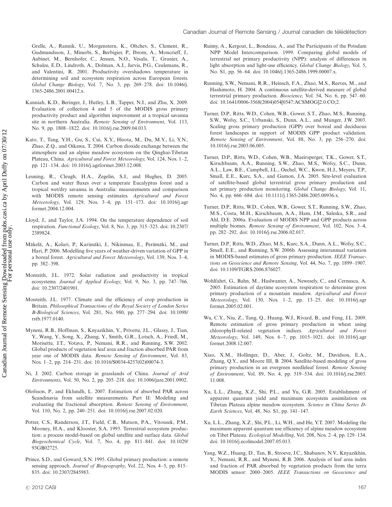Grelle, A., Rannik, U., Morgenstern, K., Oltchev, S., Clement, R., Gudmundsson, J., Minerbi, S., Berbigier, P., Ibrom, A., Moncrieff, J., Aubinet, M., Bernhofer, C., Jensen, N.O., Vesala, T., Granier, A., Schulze, E.D., Lindroth, A., Dolman, A.J., Jarvis, P.G., Ceulemans, R., and Valentini, R. 2001. Productivity overshadows temperature in determining soil and ecosystem respiration across European forests. Global Change Biology, Vol. 7, No. 3, pp. 269-278. doi: 10.1046/j. 1365-2486.2001.00412.x.

- Kanniah, K.D., Beringer, J., Hutley, L.B., Tapper, N.J., and Zhu, X. 2009. Evaluation of collection 4 and 5 of the MODIS gross primary productivity product and algorithm improvement at a tropical savanna site in northern Australia. Remote Sensing of Environment, Vol. 113, No. 9, pp. 1808-1822. doi: 10.1016/j.rse.2009.04.013.
- Kato, T., Tang, Y.H., Gu, S., Cui, X.Y., Hirota, M., Du, M.Y., Li, Y.N., Zhao, Z.Q., and Oikawa, T. 2004. Carbon dioxide exchange between the atmosphere and an alpine meadow ecosystem on the Qinghai-Tibetan Plateau, China. Agricultural and Forest Meteorology, Vol. 124, Nos. 1-2, pp. 121-134. doi: 10.1016/j.agrformet.2003.12.008.
- Leuning, R., Cleugh, H.A., Zegelin, S.J., and Hughes, D. 2005. Carbon and water fluxes over a temperate Eucalyptus forest and a tropical wet/dry savanna in Australia: measurements and comparison with MODIS remote sensing estimates. Agricultural and Forest Meteorology, Vol. 129, Nos. 3-4, pp. 151-173. doi: 10.1016/j.agr formet.2004.12.004.
- Lloyd, J., and Taylor, J.A. 1994. On the temperature dependence of soil respiration. Functional Ecology, Vol. 8, No. 3, pp. 315-323. doi: 10.2307/ 2389824.
- Mäkelä, A., Kolari, P., Karimäki, J., Nikinmaa, E., Perämäki, M., and Hari, P. 2006. Modelling five years of weather-driven variation of GPP in a boreal forest. Agricultural and Forest Meteorology, Vol. 139, Nos. 3-4, pp. 382-398.
- Monteith, J.L. 1972. Solar radiation and productivity in tropical ecosystems. Journal of Applied Ecology, Vol. 9, No. 3, pp. 747-766. doi: 10.2307/2401901.
- Monteith, J.L. 1977. Climate and the efficiency of crop production in Britain. Philosophical Transactions of the Royal Society of London Series B-Biological Sciences, Vol. 281, No. 980, pp. 277-294. doi: 10.1098/ rstb.1977.0140.
- Myneni, R.B., Hoffman, S., Knyazikhin, Y., Privette, J.L., Glassy, J., Tian, Y., Wang, Y., Song, X., Zhang, Y., Smith, G.R., Lotsch, A., Friedl, M., Morisette, J.T., Votava, P., Nemani, R.R., and Running, S.W. 2002. Global products of vegetation leaf area and fraction absorbed PAR from year one of MODIS data. Remote Sensing of Environment, Vol. 83, Nos. 1-2, pp. 214-231. doi: 10.1016/S0034-4257(02)00074-3.
- Ni, J. 2002. Carbon storage in grasslands of China. Journal of Arid Environments, Vol. 50, No. 2, pp. 205-218. doi: 10.1006/jare.2001.0902.
- Olofsson, P., and Eklundh, L. 2007. Estimation of absorbed PAR across Scandinavia from satellite measurements. Part II: Modeling and evaluating the fractional absorption. Remote Sensing of Environment, Vol. 110, No. 2, pp. 240-251. doi: 10.1016/j.rse.2007.02.020.
- Potter, C.S., Randerson, J.T., Field, C.B., Matson, P.A., Vitousek, P.M., Mooney, H.A., and Klooster, S.A. 1993. Terrestrial ecosystem production: a process model-based on global satellite and surface data. Global Biogeochemical Cycle, Vol. 7, No. 4, pp. 811-841. doi: 10.1029/ 93GB02725.
- Prince, S.D., and Goward, S.N. 1995. Global primary production: a remote sensing approach. Journal of Biogeography, Vol. 22, Nos. 4–5, pp. 815– 835. doi: 10.2307/2845983.
- Ruimy, A., Kergoat, L., Bondeau, A., and The Participants of the Potsdam NPP Model Intercomparison. 1999. Comparing global models of terrestrial net primary productivity (NPP): analysis of differences in light absorption and light-use efficiency. Global Change Biology, Vol. 5, No. S1, pp. 56-64. doi: 10.1046/j.1365-2486.1999.00007.x.
- Running, S.W., Nemani, R.R., Heinsch, F.A., Zhao, M.S., Reeves, M., and Hashimoto, H. 2004. A continuous satellite-derived measure of global terrestrial primary production. Bioscience, Vol. 54, No. 6, pp. 547-60. doi: 10.1641/0006-3568(2004)054[0547:ACSMOG]2.0.CO;2.
- Turner, D.P., Ritts, W.D., Cohen, W.B., Gower, S.T., Zhao, M.S., Running, S.W., Wofsy, S.C., Urbanski, S., Dunn, A.L., and Munger, J.W. 2003. Scaling gross primary production (GPP) over boreal and deciduous forest landscapes in support of MODIS GPP product validation. Remote Sensing of Environment, Vol. 88, No. 3, pp. 256-270. doi: 10.1016/j.rse.2003.06.005.
- Turner, D.P., Ritts, W.D., Cohen, W.B., Maeirsperger, T.K., Gower, S.T., Kirschbaum, A.A., Running, S.W., Zhao, M.S., Wofsy, S.C., Dunn, A.L., Law, B.E., Campbell, J.L., Oechel, W.C., Kwon, H.J., Meyers, T.P., Small, E.E., Kurc, S.A., and Gamon, J.A. 2005. Site-level evaluation of satellite-based global terrestrial gross primary production and net primary production monitoring. Global Change Biology, Vol. 11, No. 4, pp. 666-684. doi: 10.1111/j.1365-2486.2005.00936.x.
- Turner, D.P., Ritts, W.D., Cohen, W.B., Gower, S.T., Running, S.W., Zhao, M.S., Costa, M.H., Kirschbaum, A.A., Ham, J.M., Saleska, S.R., and Ahl, D.E. 2006a. Evaluation of MODIS NPP and GPP products across multiple biomes. Remote Sensing of Environment, Vol. 102, Nos. 3-4, pp. 282-292. doi: 10.1016/j.rse.2006.02.017.
- Turner, D.P., Ritts, W.D., Zhao, M.S., Kurc, S.A., Dunn, A.L., Wofsy, S.C., Small, E.E., and Running, S.W. 2006b. Assessing interannual variation in MODIS-based estimates of gross primary production. IEEE Transactions on Geoscience and Remote Sensing, Vol. 44, No. 7, pp. 1899-1907. doi: 10.1109/TGRS.2006.876027.
- Wohlfahrt, G., Bahn, M., Haslwanter, A., Newesely, C., and Cernusca, A. 2005. Estimation of daytime ecosystem respiration to determine gross primary production of a mountain meadow. Agricultural and Forest Meteorology, Vol. 130, Nos. 1-2, pp. 13-25. doi: 10.1016/j.agr formet.2005.02.001.
- Wu, C.Y., Niu, Z., Tang, Q., Huang, W.J., Rivard, B., and Feng, J.L. 2009. Remote estimation of gross primary production in wheat using chlorophyII-related vegetation indices. Agricultural and Forest Meteorology, Vol. 149, Nos. 6-7, pp. 1015-1021. doi: 10.1016/j.agr formet.2008.12.007.
- Xiao, X.M., Hollinger, D., Aber, J., Goltz, M., Davidson, E.A., Zhang, Q.Y., and Moore III, B. 2004. Satellite-based modeling of gross primary production in an evergreen needleleaf forest. Remote Sensing of Environment, Vol. 89, No. 4, pp. 519-534. doi: 10.1016/j.rse.2003. 11.008.
- Xu, L.L., Zhang, X.Z., Shi, P.L., and Yu, G.R. 2005. Establishment of apparent quantum yield and maximum ecosystem assimilation on Tibetan Plateau alpine meadow ecosystem. Science in China Series D-Earth Sciences, Vol. 48, No. S1, pp. 141-147.
- Xu, L.L., Zhang, X.Z., Shi, P.L., Li, W.H., and He, Y.T. 2007. Modeling the maximum apparent quantum use efficiency of alpine meadow ecosystem on Tibet Plateau. Ecological Modelling, Vol. 208, Nos. 2-4, pp. 129-134. doi: 10.1016/j.ecolmodel.2007.05.013.
- Yang, W.Z., Huang, D., Tan, B., Stroeve, J.C., Shabanov, N.V., Knyazikhin, Y., Nemani, R.R., and Myneni, R.B. 2006. Analysis of leaf area index and fraction of PAR absorbed by vegetation products from the terra MODIS sensor: 2000-2005. IEEE Transactions on Geoscience and